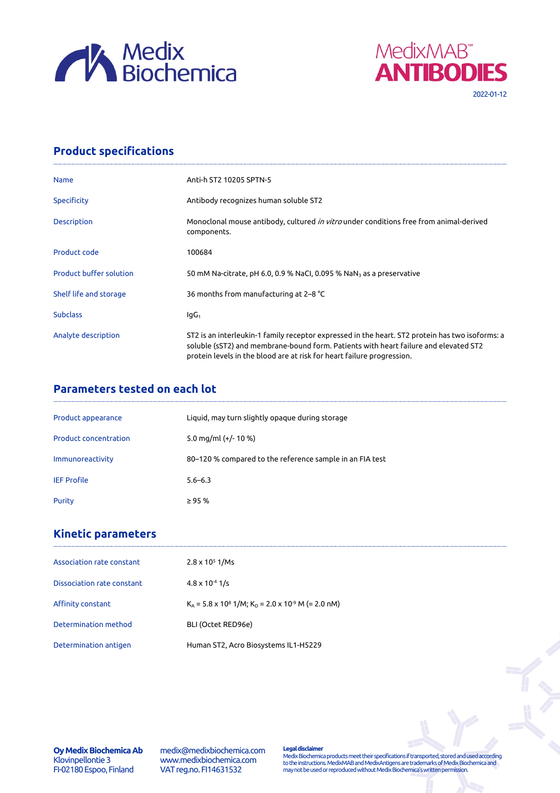



## **Product specifications**

| <b>Name</b>                    | Anti-h ST2 10205 SPTN-5                                                                                                                                                                                                                                           |
|--------------------------------|-------------------------------------------------------------------------------------------------------------------------------------------------------------------------------------------------------------------------------------------------------------------|
| <b>Specificity</b>             | Antibody recognizes human soluble ST2                                                                                                                                                                                                                             |
| <b>Description</b>             | Monoclonal mouse antibody, cultured <i>in vitro</i> under conditions free from animal-derived<br>components.                                                                                                                                                      |
| Product code                   | 100684                                                                                                                                                                                                                                                            |
| <b>Product buffer solution</b> | 50 mM Na-citrate, pH 6.0, 0.9 % NaCl, 0.095 % NaN <sub>3</sub> as a preservative                                                                                                                                                                                  |
| Shelf life and storage         | 36 months from manufacturing at 2–8 °C                                                                                                                                                                                                                            |
| <b>Subclass</b>                | lgG <sub>1</sub>                                                                                                                                                                                                                                                  |
| Analyte description            | ST2 is an interleukin-1 family receptor expressed in the heart. ST2 protein has two isoforms: a<br>soluble (sST2) and membrane-bound form. Patients with heart failure and elevated ST2<br>protein levels in the blood are at risk for heart failure progression. |

## **Parameters tested on each lot**

| Product appearance           | Liquid, may turn slightly opaque during storage          |
|------------------------------|----------------------------------------------------------|
| <b>Product concentration</b> | 5.0 mg/ml $(+/- 10 %$                                    |
| Immunoreactivity             | 80–120 % compared to the reference sample in an FIA test |
| <b>IEF Profile</b>           | $5.6 - 6.3$                                              |
| Purity                       | $\geq$ 95 %                                              |

# **Kinetic parameters**

| Association rate constant  | $2.8 \times 10^5$ 1/Ms                                                         |
|----------------------------|--------------------------------------------------------------------------------|
| Dissociation rate constant | $4.8 \times 10^{-4}$ 1/s                                                       |
| Affinity constant          | $K_A$ = 5.8 x 10 <sup>8</sup> 1/M; $K_D$ = 2.0 x 10 <sup>-9</sup> M (= 2.0 nM) |
| Determination method       | BLI (Octet RED96e)                                                             |
| Determination antigen      | Human ST2, Acro Biosystems IL1-H5229                                           |

**Oy Medix Biochemica Ab** Klovinpellontie 3 FI-02180 Espoo, Finland

medix@medixbiochemica.com www.medixbiochemica.com VAT reg.no. FI14631532

**Legal disclaimer** Medix Biochemica products meet their specifications if transported, stored and used according to the instructions. MedixMAB and MedixAntigens are trademarks of Medix Biochemica and may not be used or reproduced without Medix Biochemica's written permission.